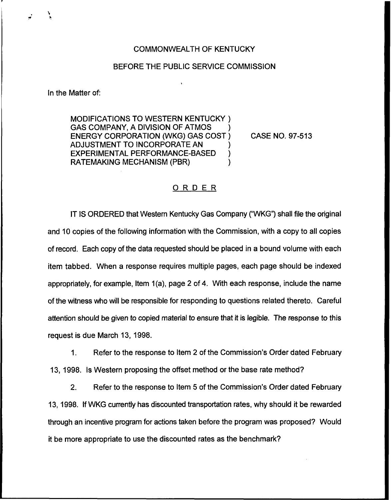## COMMONWEALTH OF KENTUCKY

## BEFORE THE PUBLIC SERVICE COMMISSION

In the Matter of:

MODIFICATIONS TO WESTERN KENTUCKY ) GAS COMPANY, A DIVISION OF ATMOS ENERGY CORPORATION (WKG) GAS COST ) ADJUSTMENT TO INCORPORATE AN EXPERIMENTAL PERFORMANCE-BASED ) RATEMAKING MECHANISM (PBR) )

CASE NO. 97-513

## ORDER

IT IS ORDERED that Western Kentucky Gas Company ("WKG") shall file the original and 10 copies of the following information with the Commission, with a copy to all copies of record. Each copy of the data requested should be placed in a bound volume with each item tabbed. When a response requires multiple pages, each page should be indexed appropriately, for example, Item 1(a), page 2 of 4. With each response, include the name of the witness who will be responsible for responding to questions related thereto. Careful attention should be given to copied material to ensure that it is legible. The response to this request is due March 13, 1998.

 $\mathbf{1}$ . Refer to the response to Item 2 of the Commission's Order dated February 13, 1998. Is Western proposing the offset method or the base rate method?

 $2.$ Refer to the response to Item 5 of the Commission's Order dated February 13, 1998. If WKG currently has discounted transportation rates, why should it be rewarded through an incentive program for actions taken before the program was proposed? Would it be more appropriate to use the discounted rates as the benchmark?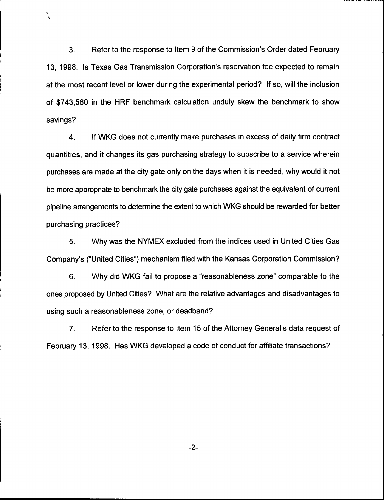3. Refer to the response to Item 9 of the Commission's Order dated February 13, 1998. Is Texas Gas Transmission Corporation's reservation fee expected to remain at the most recent level or lower during the experimental period? If so, will the inclusion of \$743,560 in the HRF benchmark calculation unduly skew the benchmark to show savings?

١

4. If WKG does not currently make purchases in excess of daily firm contract quantities, and it changes its gas purchasing strategy to subscribe to a service wherein purchases are made at the city gate only on the days when it is needed, why would it not be more appropriate to benchmark the city gate purchases against the equivalent of current pipeline arrangements to determine the extent to which WKG should be rewarded for better purchasing practices?

5. Why was the NYMEX excluded from the indices used in United Cities Gas Company's ("United Cities") mechanism filed with the Kansas Corporation Commission?

6. Why did WKG fail to propose a "reasonableness zone" comparable to the ones proposed by United Cities? What are the relative advantages and disadvantages to using such a reasonableness zone, or deadband?

7. Refer to the response to Item 15 of the Attorney General's data request of February 13, 1998. Has WKG developed a code of conduct for affiliate transactions?

 $-2-$